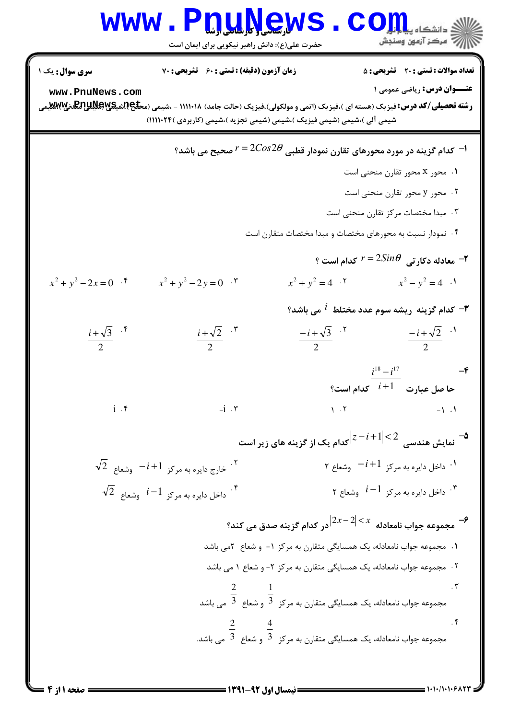|                                                                                    | <b>www.P<u>nuNe</u>ws</b><br>حضرت علی(ع): دانش راهبر نیکویی برای ایمان است                                                                                                                                                                                                                           |                                                                                                           | أأأأمركز آزمون وسنجش                                                                          |  |  |
|------------------------------------------------------------------------------------|------------------------------------------------------------------------------------------------------------------------------------------------------------------------------------------------------------------------------------------------------------------------------------------------------|-----------------------------------------------------------------------------------------------------------|-----------------------------------------------------------------------------------------------|--|--|
| <b>سری سوال :</b> یک ۱<br>www.PnuNews.com                                          | زمان آزمون (دقیقه) : تستی : 60 ٪ تشریحی : 70<br><b>رشته تحصیلی/کد درس:</b> فیزیک (هسته ای )،فیزیک (اتمی و مولکولی)،فیزیک (حالت جامد) ۱۱۱۰۱۸ - ،شیمی (م <del>طل</del> ع <b>بالکلیللپ اسلام</b> یههای باسی بالکلیل اسلامی<br>شیمی آلی )،شیمی (شیمی فیزیک )،شیمی (شیمی تجزیه )،شیمی (کاربردی )۲۴+۱۱۱۱۱) |                                                                                                           | <b>تعداد سوالات : تستی : 20 ٪ تشریحی : 5</b><br><b>عنـــوان درس:</b> رياضي عمومي 1            |  |  |
|                                                                                    |                                                                                                                                                                                                                                                                                                      |                                                                                                           | ا- کدام گزینه در مورد محورهای تقارن نمودار قطبی $2\theta\, z^{2\theta}$ صحیح می باشد؟ $^{-1}$ |  |  |
|                                                                                    |                                                                                                                                                                                                                                                                                                      |                                                                                                           | ۰۱ محور x محور تقارن منحنی است                                                                |  |  |
|                                                                                    | ۰۲ محور y محور تقارن منحنی است                                                                                                                                                                                                                                                                       |                                                                                                           |                                                                                               |  |  |
| ۰۳ مبدا مختصات مرکز تقارن منحنی است                                                |                                                                                                                                                                                                                                                                                                      |                                                                                                           |                                                                                               |  |  |
| ۰۴ نمودار نسبت به محورهای مختصات و مبدا مختصات متقارن است                          |                                                                                                                                                                                                                                                                                                      |                                                                                                           |                                                                                               |  |  |
|                                                                                    |                                                                                                                                                                                                                                                                                                      |                                                                                                           | ° معادله دکار تی $2 Sin \theta$ کدام است $r = 2 Sin \theta$                                   |  |  |
| $x^2 + y^2 - 2x = 0$ .                                                             | $x^2 + y^2 - 2y = 0$ .                                                                                                                                                                                                                                                                               | $x^2 + y^2 = 4$ . $\sqrt{ }$                                                                              | $x^2 - y^2 = 4$ .                                                                             |  |  |
|                                                                                    |                                                                                                                                                                                                                                                                                                      |                                                                                                           | لا - كدام گزينه ريشه سوم عدد مختلط $i$ مى باشد $\mathbf r$                                    |  |  |
| $\frac{i+\sqrt{3}}{2}$ .*                                                          | $\frac{i+\sqrt{2}}{2}$ . $\sqrt{2}$                                                                                                                                                                                                                                                                  | $\frac{-i+\sqrt{3}}{2}$ . <sup>r</sup>                                                                    | $\frac{-i+\sqrt{2}}{2}$ .                                                                     |  |  |
|                                                                                    |                                                                                                                                                                                                                                                                                                      |                                                                                                           | $i^{18} - i^{17}$<br>$-\mathbf{e}$<br>حا صل عبارت $i+1$ کدام است؟                             |  |  |
|                                                                                    | $i \cdot r$ $-1 \cdot r$ $-1 \cdot$                                                                                                                                                                                                                                                                  |                                                                                                           |                                                                                               |  |  |
| مایش هندسی $ z-i+1 \!<\!2$ کدام یک از گزینه های زیر است $\big z-i+1\big $          |                                                                                                                                                                                                                                                                                                      |                                                                                                           |                                                                                               |  |  |
|                                                                                    | $\sqrt{2}$ : خارج دايره به مركز $-i+1$ وشعاع $^{-7}$                                                                                                                                                                                                                                                 |                                                                                                           | ۰۱ داخل دایره به مرکز $i+1$ وشعاع ۲ $^{-1}$                                                   |  |  |
|                                                                                    | $\sqrt{2}$ وشعاع $i-1$ ، داخل دايره به مركز $i-1$                                                                                                                                                                                                                                                    |                                                                                                           | داخل دايره به مركز $i\!-\!1$ وشعاع ۲ $^{\mathsf{v}}$                                          |  |  |
| جــ $\frac{1}{2\sigma}$ مجموعه جواب نامعادله $ 2x-2 < x$ در کدام گزینه صدق می کند؟ |                                                                                                                                                                                                                                                                                                      |                                                                                                           |                                                                                               |  |  |
| ۱.  مجموعه جواب نامعادله، یک همسایگی متقارن به مرکز ۱-  و شعاع  ۲می باشد           |                                                                                                                                                                                                                                                                                                      |                                                                                                           |                                                                                               |  |  |
| ۰۲ مجموعه جواب نامعادله، یک همسایگی متقارن به مرکز ۲- و شعاع ۱ می باشد             |                                                                                                                                                                                                                                                                                                      |                                                                                                           |                                                                                               |  |  |
|                                                                                    |                                                                                                                                                                                                                                                                                                      | مجموعه جواب نامعادله، یک همسایگی متقارن به مرکز $\frac{1}{3}$ و شعاع $\frac{2}{3}$ می باشد $\frac{3}{3}$  |                                                                                               |  |  |
|                                                                                    |                                                                                                                                                                                                                                                                                                      | $\frac{2}{3}$ مجموعه جواب نامعادله، یک همسایگی متقارن به مرکز $\frac{2}{3}$ و شعاع $\frac{2}{3}$ می باشد. | $\cdot$ ۴                                                                                     |  |  |

 $= 1.1 - 11.1 - 5177$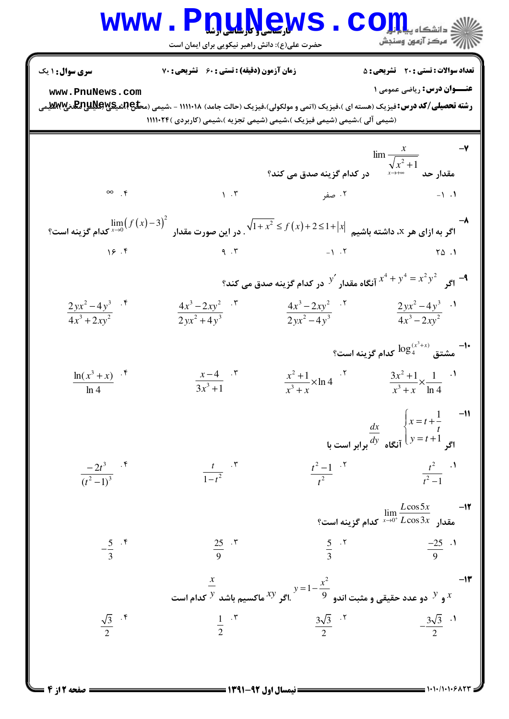## WWW.PnuNews.Com

| سری سوال : ۱ یک                      | زمان آزمون (دقیقه) : تستی : 60 تشریحی : 70                                                                                                                                                                                            |                                                                                                                   | <b>تعداد سوالات : تستی : 20 ٪ تشریحی : 5</b>                                                                                      |  |
|--------------------------------------|---------------------------------------------------------------------------------------------------------------------------------------------------------------------------------------------------------------------------------------|-------------------------------------------------------------------------------------------------------------------|-----------------------------------------------------------------------------------------------------------------------------------|--|
| www.PnuNews.com                      |                                                                                                                                                                                                                                       |                                                                                                                   | <b>عنـــوان درس:</b> ریاضی عمومی ۱                                                                                                |  |
|                                      | <b>رشته تحصیلی/کد درس:</b> فیزیک (هسته ای )،فیزیک (اتمی و مولکولی)،فیزیک (حالت جامد) ۱۱۱۰۱۸ - ،شیمی (م <b>حلیRییکپRیلپRی</b> لیچ<br>(شیمی آلی )،شیمی (شیمی فیزیک )،شیمی (شیمی تجزیه )،شیمی (کاربردی )۱۱۱۱۰۲۴                          |                                                                                                                   |                                                                                                                                   |  |
|                                      |                                                                                                                                                                                                                                       |                                                                                                                   |                                                                                                                                   |  |
|                                      |                                                                                                                                                                                                                                       |                                                                                                                   | $\lim \frac{x}{\sqrt{x^2+1}}$ مقدار حد $\frac{x}{\sqrt{x^2+1}}$ در کدام گزینه صدق می کند؟                                         |  |
| $\infty$ f                           |                                                                                                                                                                                                                                       |                                                                                                                   |                                                                                                                                   |  |
|                                      | $\lim_{x\to 0} \bigl( f(x) - 3 \bigr)^2$ اگر به ازای هر X، داشته باشیم $\sqrt{1+x^2} \le f(x)+2 \le 1+ x $ . در این صورت مقدار $\lim_{x\to 0} \bigl( f(x)-3 \bigr)^2$ کدام گزینه است                                                  |                                                                                                                   |                                                                                                                                   |  |
|                                      | 19.5                                                                                                                                                                                                                                  |                                                                                                                   |                                                                                                                                   |  |
|                                      | اگہ $x^2 + y^4 = x^2$ آنگاه مقدار $y'$ در کدام گزینه صدق می کند؟ $\mathcal{A}^4 + y^4 = x^2$                                                                                                                                          |                                                                                                                   |                                                                                                                                   |  |
| $\frac{2yx^2-4y^3}{4x^3+2xy^2}$ .    | $\frac{4x^3-2xy^2}{2yx^2+4y^3}$ . $\sqrt{7}$                                                                                                                                                                                          | $\frac{4x^3-2xy^2}{2yx^2-4y^3}$ $\frac{2yx^2-4y^3}{4x^3-2xy^2}$ $\frac{1}{2}$                                     |                                                                                                                                   |  |
|                                      |                                                                                                                                                                                                                                       |                                                                                                                   | -۱- هشتق $\log_4^{(x^3+x)}$ کدام گزینه است $^{14}$                                                                                |  |
| $\frac{\ln(x^3+x)}{\ln 4}$ .*        | $\frac{x-4}{3x^3+1}$ .                                                                                                                                                                                                                | $rac{x^2+1}{x^3+x} \times \ln 4$ $rac{5x^2+1}{x^3+x} \times \frac{1}{\ln 4}$ $rac{1}{x^3+x}$                      |                                                                                                                                   |  |
|                                      |                                                                                                                                                                                                                                       |                                                                                                                   | $\frac{dx}{dy}$ $\begin{cases} x = t + \frac{1}{t} & -11 \ y = t + 1 & y \end{cases}$ آنگاه $\frac{dy}{dx}$ برابر است با          |  |
| $\frac{-2t^3}{(t^2-1)^3}$ . f        | $\int \frac{t}{1-t^2}$ . \vertify \times \times \times \times \times \times \times \times \times \times \times \times \times \times \times \times \times \times \times \times \times \times \times \times \times \times \times \times |                                                                                                                   | $\frac{t^2-1}{t^2}$ $\frac{t^2}{t^2-1}$ $\frac{t^2}{t^2-1}$                                                                       |  |
|                                      |                                                                                                                                                                                                                                       |                                                                                                                   | $\lim\limits_{x\to 0^+}\frac{L\mathrm{cos}\,5x}{L\mathrm{cos}\,3x}$ مقدار $\frac{\mathrm{lim}}{L\mathrm{cos}\,3x}$ کدام گزینه است |  |
| $-\frac{5}{3}$ . $\frac{5}{3}$       | $\frac{25}{9}$ . $\sqrt{ }$                                                                                                                                                                                                           |                                                                                                                   | $rac{5}{3}$ $rac{5}{9}$ $rac{-25}{9}$ $rac{1}{9}$                                                                                 |  |
|                                      | $\frac{x}{y}$ و $\frac{y}{y}$ دو عدد حقیقی و مثبت اندو $y=1-\frac{x^2}{9}$ اگر $\frac{y}{y}$ ماکسیم باشد $\frac{y}{y}$ کدام است                                                                                                       |                                                                                                                   |                                                                                                                                   |  |
| $\frac{\sqrt{3}}{2}$ . $\sqrt[6]{ }$ |                                                                                                                                                                                                                                       | $\frac{1}{2}$ $\frac{1}{2}$ $\frac{1}{2}$ $\frac{3\sqrt{3}}{2}$ $\frac{1}{2}$ $\frac{3\sqrt{3}}{2}$ $\frac{1}{2}$ |                                                                                                                                   |  |
|                                      |                                                                                                                                                                                                                                       |                                                                                                                   |                                                                                                                                   |  |

 $= 1.1.11.1.9$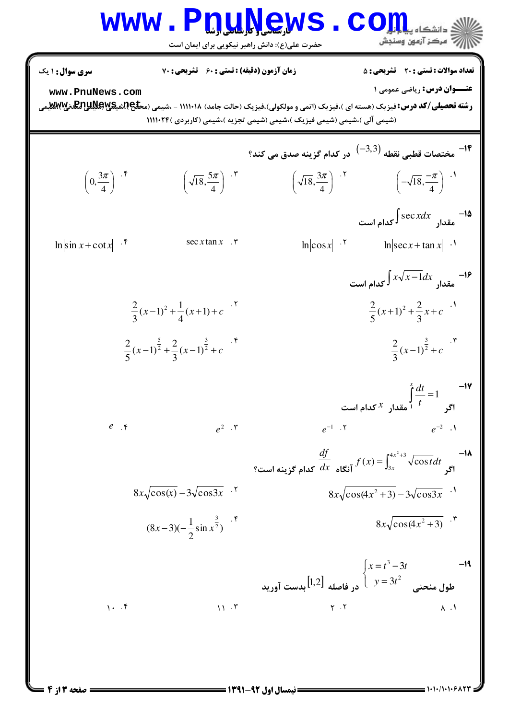## Www.PnuNews.Com حضرت علی(ع): دانش راهبر نیکویی برای ایمان است

**تعداد سوالات : تستی : 20 - تشریحی : 5** <mark>سری سوال :</mark> ۱ یک **زمان آزمون (دقیقه) : تستی : 60 تشریحی : 70 عنــوان درس: ریاضی عمومی ۱** www.PnuNews.com **رشته تحصیلی/کد درس:**فیزیک (هسته ای )،فیزیک (اتمی و مولکولی)،فیزیک (حالت جامد) ۱۱۱۰۱۸ - ،شیمی (م**حلیRپیچیتهالپاپالیتالیت**<br>. (شیمی آلی )،شیمی (شیمی فیزیک )،شیمی (شیمی تجزیه )،شیمی (کاربردی )۱۱۱۰۲۴ ( <sup>1۴ ـ</sup> مختصات قطبي نقطه  $\left( -3,3\right)$  در كدام گزينه صدق مي كند؟  $\left(\sqrt{18}, \frac{5\pi}{4}\right)$   $\left(\sqrt{18}, \frac{3\pi}{4}\right)$   $\left(\sqrt{18}, \frac{3\pi}{4}\right)$   $\left(\sqrt{18}, \frac{-\pi}{4}\right)$   $\left(\sqrt{18}, \frac{-\pi}{4}\right)$  $\left(0,\frac{3\pi}{4}\right)^{4.5}$ دا–  $\int \sec x dx$  مقدا $\int \sec x dx$  کدام است  $\ln |\cos x|$  .<sup>7</sup>  $\ln |\sin x + \cot x|$  .  $sec x tan x$ .  $\ln |\sec x + \tan x|$ . ا–  $\int x\sqrt{x-1}dx$  مقدار  $\int x\sqrt{x-1}dx$  کدام است  $\frac{2}{3}(x-1)^2 + \frac{1}{4}(x+1) + c$ .  $\frac{2}{5}(x+1)^2 + \frac{2}{3}x + c$ <sup>.1</sup>  $\frac{2}{2}(x-1)^{\frac{3}{2}}+c$ .  $\frac{2}{5}(x-1)^{\frac{5}{2}}+\frac{2}{3}(x-1)^{\frac{3}{2}}+c$ ا =  $\int_{1}^{x} \frac{dt}{t} = 1$  = 1 مقدار  $x$  کدام است $\frac{1}{t}$  $e^{-1}$  .  $\zeta$  $e^{-2}$  .  $e^+$  $e^2$ . ٣  $\frac{df}{dx}$  آنگاه  $\frac{df}{dx}$  کدام گزینه است؟  $f(x) = \int_{3x}^{4x^2+3} \sqrt{\cos t} dt$  کدام گزینه است  $8x\sqrt{\cos(x)}-3\sqrt{\cos 3x}$ .  $8x\sqrt{\cos(4x^2+3)}-3\sqrt{\cos 3x}$ .  $8x\sqrt{\cos(4x^2+3)}$ .  $(8x-3)(-\frac{1}{2}\sin x^{\frac{3}{2}})^{1.5}$  $\begin{cases} x = t^3 - 3t \\ y = 3t^2 \end{cases}$ طول منحنى  $\begin{cases} x = 3t^2 \\ y = 3t^2 \end{cases}$ بدست آورید  $-19$  $1.7$  $Y \cdot Y$  $11.7$  $\Lambda$  .